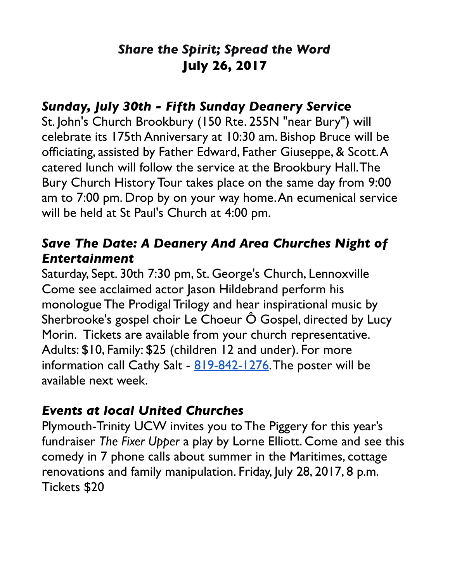## *Share the Spirit; Spread the Word* **July 26, 2017**

#### *Sunday, July 30th - Fifth Sunday Deanery Service*

St. John's Church Brookbury (150 Rte. 255N "near Bury") will celebrate its 175th Anniversary at 10:30 am. Bishop Bruce will be officiating, assisted by Father Edward, Father Giuseppe, & Scott. A catered lunch will follow the service at the Brookbury Hall. The Bury Church History Tour takes place on the same day from 9:00 am to 7:00 pm. Drop by on your way home. An ecumenical service will be held at St Paul's Church at 4:00 pm.

### *Save The Date: A Deanery And Area Churches Night of Entertainment*

Saturday, Sept. 30th 7:30 pm, St. George's Church, Lennoxville Come see acclaimed actor Jason Hildebrand perform his monologue The Prodigal Trilogy and hear inspirational music by Sherbrooke's gospel choir Le Choeur  $\hat{O}$  Gospel, directed by Lucy Morin. Tickets are available from your church representative. Adults: \$10, Family: \$25 (children 12 and under). For more information call Cathy Salt - [819-842-1276.](tel:(819)%20842-1276) The poster will be available next week.

### *Events at local United Churches*

Plymouth-Trinity UCW invites you to The Piggery for this year's fundraiser *The Fixer Upper* a play by Lorne Elliott. Come and see this comedy in 7 phone calls about summer in the Maritimes, cottage renovations and family manipulation. Friday, July 28, 2017, 8 p.m. Tickets \$20